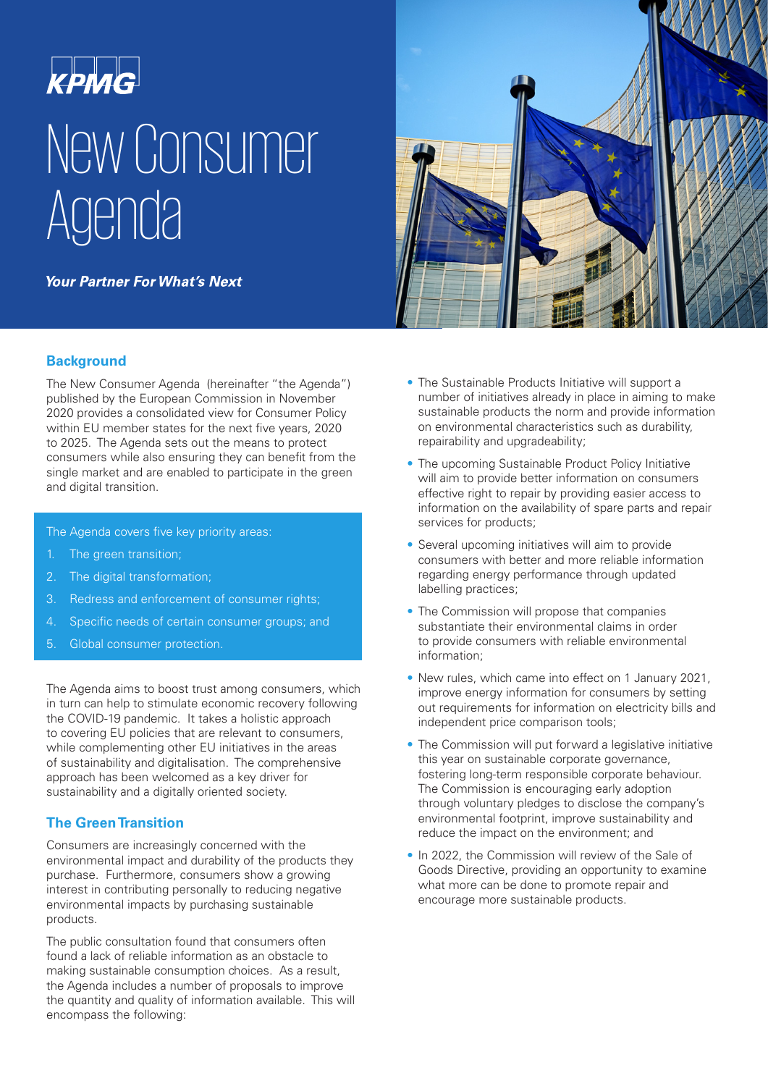# **KPMG** New Consumer **Agenda**

**Your Partner For What's Next** 

#### **Background**

The New Consumer Agenda (hereinafter "the Agenda") published by the European Commission in November 2020 provides a consolidated view for Consumer Policy within EU member states for the next five years, 2020 to 2025. The Agenda sets out the means to protect consumers while also ensuring they can benefit from the single market and are enabled to participate in the green and digital transition.

The Agenda covers five key priority areas:

- The green transition;
- 2. The digital transformation;
- 3. Redress and enforcement of consumer rights;
- 4. Specific needs of certain consumer groups; and
- 5. Global consumer protection.

The Agenda aims to boost trust among consumers, which in turn can help to stimulate economic recovery following the COVID-19 pandemic. It takes a holistic approach to covering EU policies that are relevant to consumers, while complementing other EU initiatives in the areas of sustainability and digitalisation. The comprehensive approach has been welcomed as a key driver for sustainability and a digitally oriented society.

#### **The Green Transition**

Consumers are increasingly concerned with the environmental impact and durability of the products they purchase. Furthermore, consumers show a growing interest in contributing personally to reducing negative environmental impacts by purchasing sustainable products.

The public consultation found that consumers often found a lack of reliable information as an obstacle to making sustainable consumption choices. As a result, the Agenda includes a number of proposals to improve the quantity and quality of information available. This will encompass the following:



- The Sustainable Products Initiative will support a number of initiatives already in place in aiming to make sustainable products the norm and provide information on environmental characteristics such as durability, repairability and upgradeability;
- The upcoming Sustainable Product Policy Initiative will aim to provide better information on consumers effective right to repair by providing easier access to information on the availability of spare parts and repair services for products;
- Several upcoming initiatives will aim to provide consumers with better and more reliable information regarding energy performance through updated labelling practices;
- The Commission will propose that companies substantiate their environmental claims in order to provide consumers with reliable environmental information;
- New rules, which came into effect on 1 January 2021, improve energy information for consumers by setting out requirements for information on electricity bills and independent price comparison tools;
- The Commission will put forward a legislative initiative this year on sustainable corporate governance, fostering long-term responsible corporate behaviour. The Commission is encouraging early adoption through voluntary pledges to disclose the company's environmental footprint, improve sustainability and reduce the impact on the environment; and
- In 2022, the Commission will review of the Sale of Goods Directive, providing an opportunity to examine what more can be done to promote repair and encourage more sustainable products.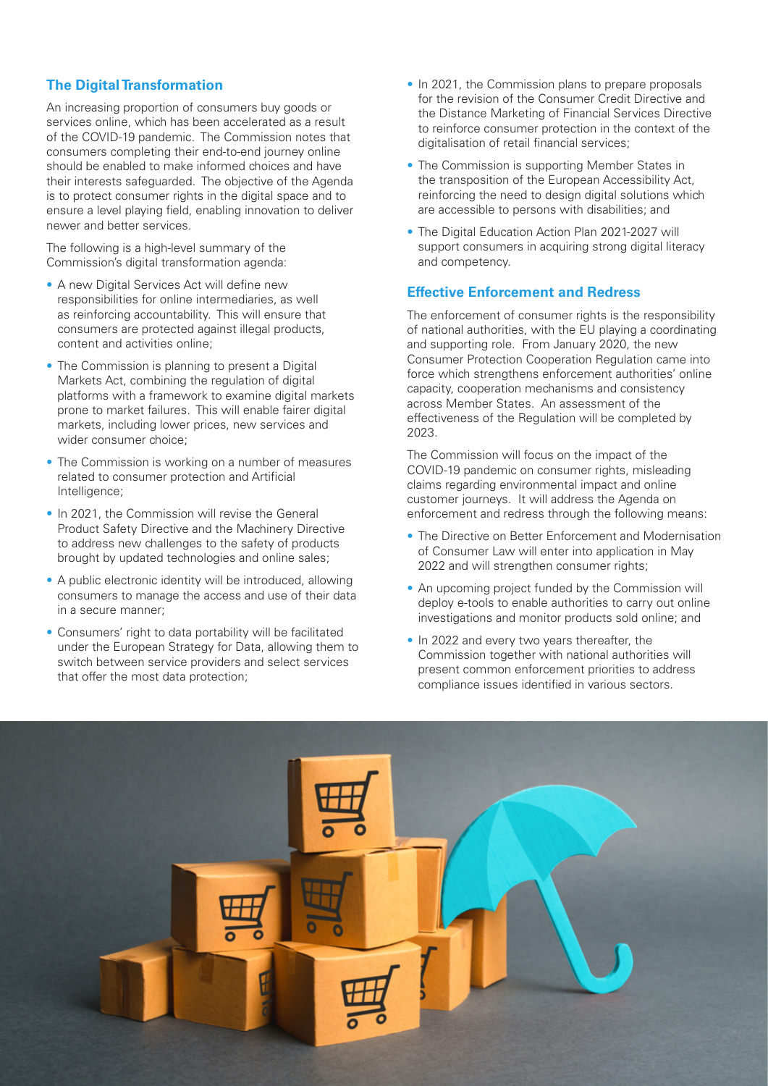## **The Digital Transformation**

An increasing proportion of consumers buy goods or services online, which has been accelerated as a result of the COVID-19 pandemic. The Commission notes that consumers completing their end-to-end journey online should be enabled to make informed choices and have their interests safeguarded. The objective of the Agenda is to protect consumer rights in the digital space and to ensure a level playing field, enabling innovation to deliver newer and better services.

The following is a high-level summary of the Commission's digital transformation agenda:

- A new Digital Services Act will define new responsibilities for online intermediaries, as well as reinforcing accountability. This will ensure that consumers are protected against illegal products, content and activities online;
- The Commission is planning to present a Digital Markets Act, combining the regulation of digital platforms with a framework to examine digital markets prone to market failures. This will enable fairer digital markets, including lower prices, new services and wider consumer choice;
- The Commission is working on a number of measures related to consumer protection and Artificial Intelligence;
- In 2021, the Commission will revise the General Product Safety Directive and the Machinery Directive to address new challenges to the safety of products brought by updated technologies and online sales;
- A public electronic identity will be introduced, allowing consumers to manage the access and use of their data in a secure manner;
- Consumers' right to data portability will be facilitated under the European Strategy for Data, allowing them to switch between service providers and select services that offer the most data protection;
- In 2021, the Commission plans to prepare proposals for the revision of the Consumer Credit Directive and the Distance Marketing of Financial Services Directive to reinforce consumer protection in the context of the digitalisation of retail financial services;
- The Commission is supporting Member States in the transposition of the European Accessibility Act, reinforcing the need to design digital solutions which are accessible to persons with disabilities; and
- The Digital Education Action Plan 2021-2027 will support consumers in acquiring strong digital literacy and competency.

# **Effective Enforcement and Redress**

The enforcement of consumer rights is the responsibility of national authorities, with the EU playing a coordinating and supporting role. From January 2020, the new Consumer Protection Cooperation Regulation came into force which strengthens enforcement authorities' online capacity, cooperation mechanisms and consistency across Member States. An assessment of the effectiveness of the Regulation will be completed by 2023.

The Commission will focus on the impact of the COVID-19 pandemic on consumer rights, misleading claims regarding environmental impact and online customer journeys. It will address the Agenda on enforcement and redress through the following means:

- The Directive on Better Enforcement and Modernisation of Consumer Law will enter into application in May 2022 and will strengthen consumer rights;
- An upcoming project funded by the Commission will deploy e-tools to enable authorities to carry out online investigations and monitor products sold online; and
- In 2022 and every two years thereafter, the Commission together with national authorities will present common enforcement priorities to address compliance issues identified in various sectors.

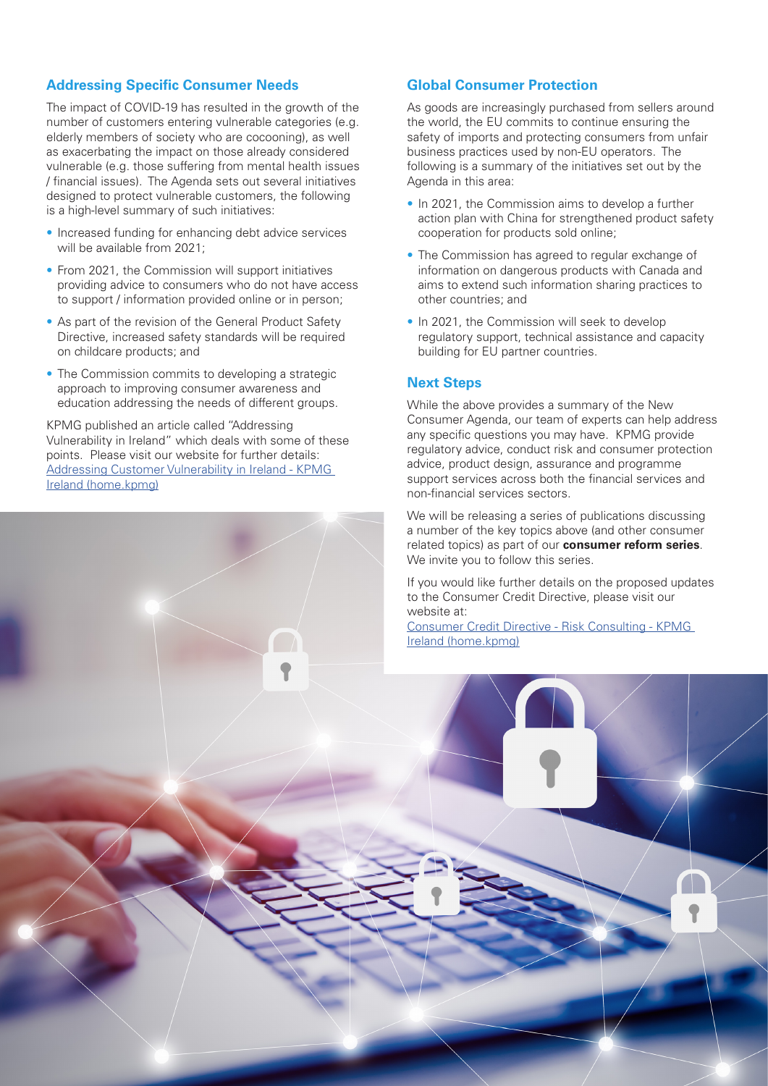#### **Addressing Specific Consumer Needs**

The impact of COVID-19 has resulted in the growth of the number of customers entering vulnerable categories (e.g. elderly members of society who are cocooning), as well as exacerbating the impact on those already considered vulnerable (e.g. those suffering from mental health issues / financial issues). The Agenda sets out several initiatives designed to protect vulnerable customers, the following is a high-level summary of such initiatives:

- Increased funding for enhancing debt advice services will be available from 2021;
- From 2021, the Commission will support initiatives providing advice to consumers who do not have access to support / information provided online or in person;
- As part of the revision of the General Product Safety Directive, increased safety standards will be required on childcare products; and
- The Commission commits to developing a strategic approach to improving consumer awareness and education addressing the needs of different groups.

KPMG published an article called "Addressing Vulnerability in Ireland" which deals with some of these points. Please visit our website for further details: [Addressing Customer Vulnerability in Ireland - KPMG](https://home.kpmg/ie/en/home/insights/2021/01/addressing-vulnerability-in-ireland-risk-regulatory.html)  [Ireland \(home.kpmg\)](https://home.kpmg/ie/en/home/insights/2021/01/addressing-vulnerability-in-ireland-risk-regulatory.html)

#### **Global Consumer Protection**

As goods are increasingly purchased from sellers around the world, the EU commits to continue ensuring the safety of imports and protecting consumers from unfair business practices used by non-EU operators. The following is a summary of the initiatives set out by the Agenda in this area:

- In 2021, the Commission aims to develop a further action plan with China for strengthened product safety cooperation for products sold online;
- The Commission has agreed to regular exchange of information on dangerous products with Canada and aims to extend such information sharing practices to other countries; and
- In 2021, the Commission will seek to develop regulatory support, technical assistance and capacity building for EU partner countries.

#### **Next Steps**

While the above provides a summary of the New Consumer Agenda, our team of experts can help address any specific questions you may have. KPMG provide regulatory advice, conduct risk and consumer protection advice, product design, assurance and programme support services across both the financial services and non-financial services sectors.

We will be releasing a series of publications discussing a number of the key topics above (and other consumer related topics) as part of our **consumer reform series**. We invite you to follow this series.

If you would like further details on the proposed updates to the Consumer Credit Directive, please visit our website at:

[Consumer Credit Directive - Risk Consulting - KPMG](https://home.kpmg/ie/en/home/insights/2020/11/consumer-credit-directive-risk.html)  [Ireland \(home.kpmg\)](https://home.kpmg/ie/en/home/insights/2020/11/consumer-credit-directive-risk.html)